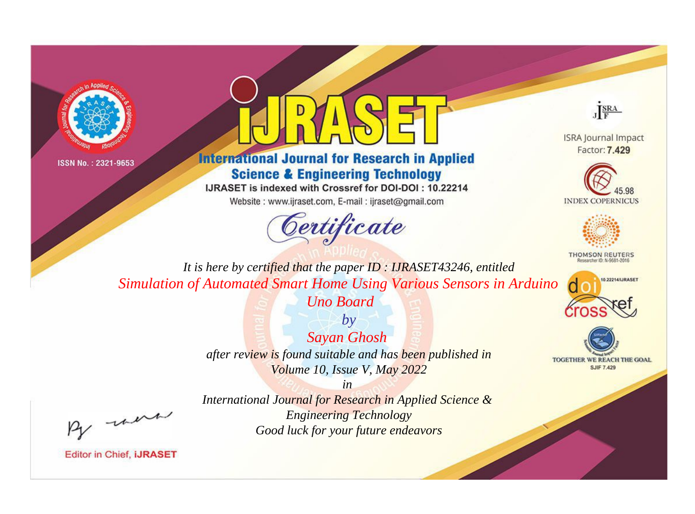



## **International Journal for Research in Applied Science & Engineering Technology**

IJRASET is indexed with Crossref for DOI-DOI: 10.22214

Website: www.ijraset.com, E-mail: ijraset@gmail.com



JERA

**ISRA Journal Impact** Factor: 7.429





**THOMSON REUTERS** 



TOGETHER WE REACH THE GOAL **SJIF 7.429** 

It is here by certified that the paper ID: IJRASET43246, entitled Simulation of Automated Smart Home Using Various Sensors in Arduino

**Uno Board** 

 $by$ **Sayan Ghosh** after review is found suitable and has been published in Volume 10, Issue V, May 2022

were

International Journal for Research in Applied Science & **Engineering Technology** Good luck for your future endeavors

 $in$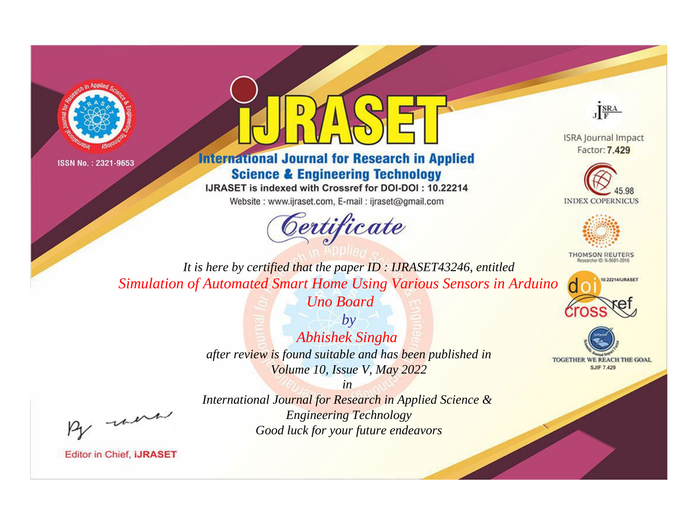



**International Journal for Research in Applied Science & Engineering Technology** 

IJRASET is indexed with Crossref for DOI-DOI: 10.22214

Website: www.ijraset.com, E-mail: ijraset@gmail.com





**ISRA Journal Impact** Factor: 7.429





**THOMSON REUTERS** 



TOGETHER WE REACH THE GOAL **SJIF 7.429** 

*It is here by certified that the paper ID : IJRASET43246, entitled Simulation of Automated Smart Home Using Various Sensors in Arduino* 

*Uno Board*

*by Abhishek Singha after review is found suitable and has been published in Volume 10, Issue V, May 2022*

, un

*International Journal for Research in Applied Science & Engineering Technology Good luck for your future endeavors*

*in*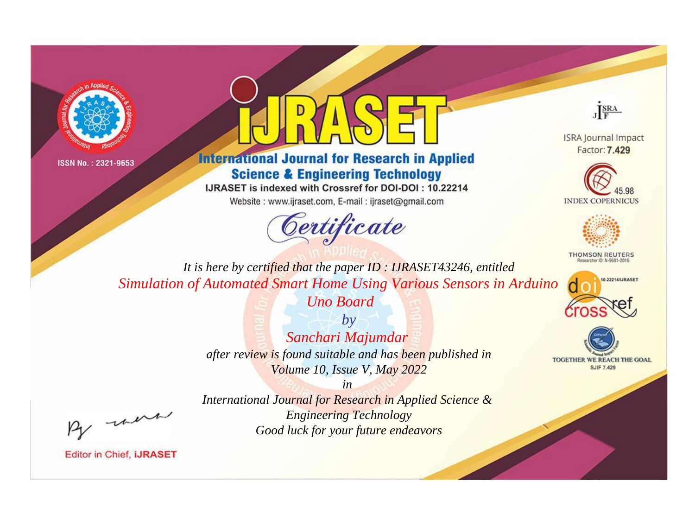



**International Journal for Research in Applied Science & Engineering Technology** 

IJRASET is indexed with Crossref for DOI-DOI: 10.22214

Website: www.ijraset.com, E-mail: ijraset@gmail.com





**ISRA Journal Impact** Factor: 7.429





**THOMSON REUTERS** 



TOGETHER WE REACH THE GOAL **SJIF 7.429** 

*It is here by certified that the paper ID : IJRASET43246, entitled Simulation of Automated Smart Home Using Various Sensors in Arduino* 

*Uno Board*

*by Sanchari Majumdar after review is found suitable and has been published in Volume 10, Issue V, May 2022*

, un

*International Journal for Research in Applied Science & Engineering Technology Good luck for your future endeavors*

*in*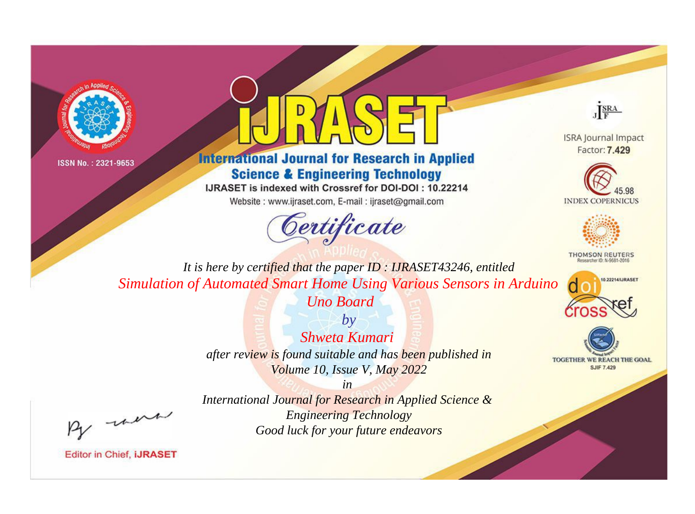



## **International Journal for Research in Applied Science & Engineering Technology**

IJRASET is indexed with Crossref for DOI-DOI: 10.22214

Website: www.ijraset.com, E-mail: ijraset@gmail.com



JERA

**ISRA Journal Impact** Factor: 7.429





**THOMSON REUTERS** 



TOGETHER WE REACH THE GOAL **SJIF 7.429** 

It is here by certified that the paper ID: IJRASET43246, entitled Simulation of Automated Smart Home Using Various Sensors in Arduino

**Uno Board** 

 $b\nu$ Shweta Kumari after review is found suitable and has been published in Volume 10, Issue V, May 2022

were

International Journal for Research in Applied Science & **Engineering Technology** Good luck for your future endeavors

 $in$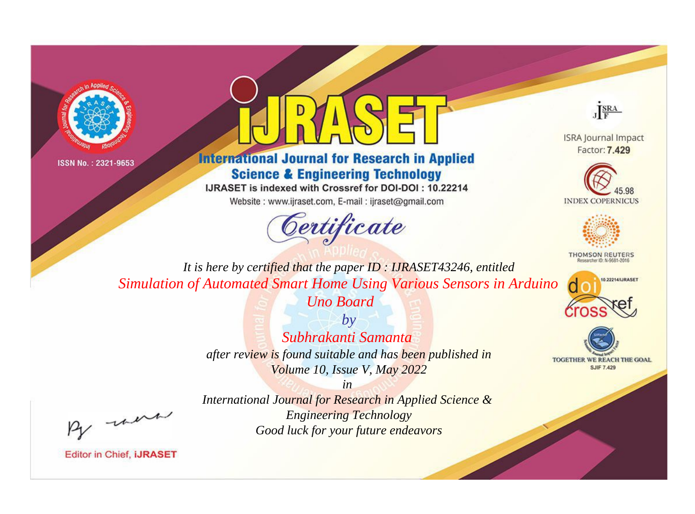



**International Journal for Research in Applied Science & Engineering Technology** 

IJRASET is indexed with Crossref for DOI-DOI: 10.22214

Website: www.ijraset.com, E-mail: ijraset@gmail.com



JERA

**ISRA Journal Impact** Factor: 7.429





**THOMSON REUTERS** 



TOGETHER WE REACH THE GOAL **SJIF 7.429** 

It is here by certified that the paper ID: IJRASET43246, entitled Simulation of Automated Smart Home Using Various Sensors in Arduino

**Uno Board** 

 $b\nu$ Subhrakanti Samanta after review is found suitable and has been published in Volume 10, Issue V, May 2022

were

International Journal for Research in Applied Science & **Engineering Technology** Good luck for your future endeavors

 $in$